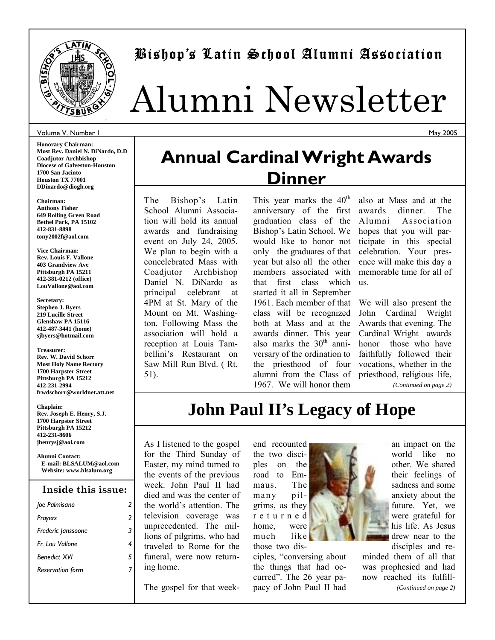

### Bishop's Latin School Alumni Association

# Alumni Newsletter

#### Volume V. Number 1

**Honorary Chairman: Most Rev. Daniel N. DiNardo, D.D Coadjutor Archbishop Diocese of Galveston-Houston 1700 San Jacinto Houston TX 77001 DDinardo@diogh.org** 

**Chairman: Anthony Fisher 649 Rolling Green Road Bethel Park, PA 15102 412-831-8898 tony2002f@aol.com** 

**Vice Chairman: Rev. Louis F. Vallone 403 Grandview Ave Pittsburgh PA 15211 412-381-0212 (office) LouVallone@aol.com** 

**Secretary: Stephen J. Byers 219 Lucille Street Glenshaw PA 15116 412-487-3441 (home) sjbyers@hotmail.com** 

#### **Treasurer: Rev. W. David Schorr Most Holy Name Rectory 1700 Harpster Street Pittsburgh PA 15212 412-231-2994 frwdschorr@worldnet.att.net**

**Chaplain: Rev. Joseph E. Henry, S.J. 1700 Harpster Street Pittsburgh PA 15212 412-231-8606 jhenrysj@aol.com** 

**Alumni Contact: E-mail: BLSALUM@aol.com Website: www.blsalum.org** 

### **Inside this issue:**

| loe Palmisano           |   |
|-------------------------|---|
| Prayers                 | 2 |
| Frederic Janssoone      | 3 |
| Fr Lou Vallone          |   |
| <b>Benedict XVI</b>     | 5 |
| <b>Reservation form</b> |   |
|                         |   |

# **Annual Cardinal Wright Awards Dinner**

The Bishop's Latin School Alumni Association will hold its annual awards and fundraising event on July 24, 2005. We plan to begin with a concelebrated Mass with Coadjutor Archbishop Daniel N. DiNardo as principal celebrant at 4PM at St. Mary of the Mount on Mt. Washington. Following Mass the association will hold a reception at Louis Tambellini's Restaurant on Saw Mill Run Blvd. ( Rt. 51).

This year marks the  $40<sup>th</sup>$ anniversary of the first graduation class of the Bishop's Latin School. We would like to honor not only the graduates of that year but also all the other members associated with that first class which started it all in September 1961. Each member of that class will be recognized both at Mass and at the awards dinner. This year also marks the  $30<sup>th</sup>$  anniversary of the ordination to the priesthood of four alumni from the Class of 1967. We will honor them

also at Mass and at the awards dinner. The Alumni Association hopes that you will participate in this special celebration. Your presence will make this day a memorable time for all of us.

We will also present the John Cardinal Wright Awards that evening. The Cardinal Wright awards honor those who have faithfully followed their vocations, whether in the priesthood, religious life, *(Continued on page 2)* 

### **John Paul II's Legacy of Hope**

As I listened to the gospel for the Third Sunday of Easter, my mind turned to the events of the previous week. John Paul II had died and was the center of the world's attention. The television coverage was unprecedented. The millions of pilgrims, who had traveled to Rome for the funeral, were now returning home.

The gospel for that week-

end recounted the two disciples on the road to Emmaus. The many pilgrims, as they r e t u r n e d home, were much like those two dis-

ciples, "conversing about the things that had occurred". The 26 year papacy of John Paul II had an impact on the world like no other. We shared their feelings of sadness and some anxiety about the future. Yet, we were grateful for his life. As Jesus drew near to the disciples and re-

minded them of all that was prophesied and had now reached its fulfill- *(Continued on page 2)* 

May 2005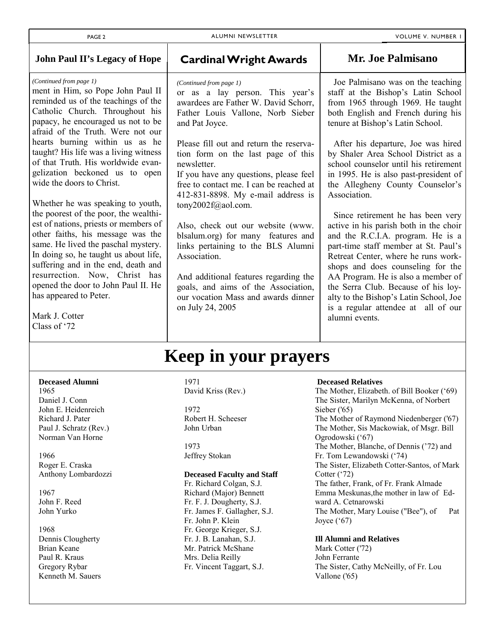T

| <b>John Paul II's Legacy of Hope</b>                                                                                                                                                                                                                                                                                                                                                                                                                                                                                                                                                                | <b>Cardinal Wright Awards</b>                                                                                                                                                                                                                                                                                                                                                                                                                                                                                             | <b>Mr. Joe Palmisano</b>                                                                                                                                                                                                                                                                                                                                                                                                                                                                                                                                                                                                                |
|-----------------------------------------------------------------------------------------------------------------------------------------------------------------------------------------------------------------------------------------------------------------------------------------------------------------------------------------------------------------------------------------------------------------------------------------------------------------------------------------------------------------------------------------------------------------------------------------------------|---------------------------------------------------------------------------------------------------------------------------------------------------------------------------------------------------------------------------------------------------------------------------------------------------------------------------------------------------------------------------------------------------------------------------------------------------------------------------------------------------------------------------|-----------------------------------------------------------------------------------------------------------------------------------------------------------------------------------------------------------------------------------------------------------------------------------------------------------------------------------------------------------------------------------------------------------------------------------------------------------------------------------------------------------------------------------------------------------------------------------------------------------------------------------------|
| (Continued from page 1)<br>ment in Him, so Pope John Paul II<br>reminded us of the teachings of the<br>Catholic Church. Throughout his<br>papacy, he encouraged us not to be<br>afraid of the Truth. Were not our                                                                                                                                                                                                                                                                                                                                                                                   | (Continued from page 1)<br>or as a lay person. This year's<br>awardees are Father W. David Schorr,<br>Father Louis Vallone, Norb Sieber<br>and Pat Joyce.                                                                                                                                                                                                                                                                                                                                                                 | Joe Palmisano was on the teaching<br>staff at the Bishop's Latin School<br>from 1965 through 1969. He taught<br>both English and French during his<br>tenure at Bishop's Latin School.                                                                                                                                                                                                                                                                                                                                                                                                                                                  |
| hearts burning within us as he<br>taught? His life was a living witness<br>of that Truth. His worldwide evan-<br>gelization beckoned us to open<br>wide the doors to Christ.<br>Whether he was speaking to youth,<br>the poorest of the poor, the wealthi-<br>est of nations, priests or members of<br>other faiths, his message was the<br>same. He lived the paschal mystery.<br>In doing so, he taught us about life,<br>suffering and in the end, death and<br>resurrection. Now, Christ has<br>opened the door to John Paul II. He<br>has appeared to Peter.<br>Mark J. Cotter<br>Class of '72 | Please fill out and return the reserva-<br>tion form on the last page of this<br>newsletter.<br>If you have any questions, please feel<br>free to contact me. I can be reached at<br>412-831-8898. My e-mail address is<br>tony2002f@aol.com.<br>Also, check out our website (www.<br>blsalum.org) for many features and<br>links pertaining to the BLS Alumni<br>Association.<br>And additional features regarding the<br>goals, and aims of the Association,<br>our vocation Mass and awards dinner<br>on July 24, 2005 | After his departure, Joe was hired<br>by Shaler Area School District as a<br>school counselor until his retirement<br>in 1995. He is also past-president of<br>the Allegheny County Counselor's<br>Association.<br>Since retirement he has been very<br>active in his parish both in the choir<br>and the R.C.I.A. program. He is a<br>part-time staff member at St. Paul's<br>Retreat Center, where he runs work-<br>shops and does counseling for the<br>AA Program. He is also a member of<br>the Serra Club. Because of his loy-<br>alty to the Bishop's Latin School, Joe<br>is a regular attendee at all of our<br>alumni events. |
|                                                                                                                                                                                                                                                                                                                                                                                                                                                                                                                                                                                                     | <b>Keep in your prayers</b>                                                                                                                                                                                                                                                                                                                                                                                                                                                                                               |                                                                                                                                                                                                                                                                                                                                                                                                                                                                                                                                                                                                                                         |

#### **Deceased Alumni**

1965 Daniel J. Conn John E. Heidenreich Richard J. Pater Paul J. Schratz (Rev.) Norman Van Horne

1966 Roger E. Craska Anthony Lombardozzi

1967 John F. Reed John Yurko

1968 Dennis Clougherty Brian Keane Paul R. Kraus Gregory Rybar Kenneth M. Sauers

#### 1971 David Kriss (Rev.)

1972 Robert H. Scheeser John Urban

1973 Jeffrey Stokan

### **Deceased Faculty and Staff**

Fr. Richard Colgan, S.J. Richard (Major) Bennett Fr. F. J. Dougherty, S.J. Fr. James F. Gallagher, S.J. Fr. John P. Klein Fr. George Krieger, S.J. Fr. J. B. Lanahan, S.J. Mr. Patrick McShane Mrs. Delia Reilly Fr. Vincent Taggart, S.J.

#### **Deceased Relatives**

The Mother, Elizabeth. of Bill Booker ('69) The Sister, Marilyn McKenna, of Norbert Sieber ('65) The Mother of Raymond Niedenberger ('67) The Mother, Sis Mackowiak, of Msgr. Bill Ogrodowski ('67) The Mother, Blanche, of Dennis ('72) and Fr. Tom Lewandowski ('74) The Sister, Elizabeth Cotter-Santos, of Mark Cotter ('72) The father, Frank, of Fr. Frank Almade Emma Meskunas,the mother in law of Edward A. Cetnarowski The Mother, Mary Louise ("Bee"), of Pat Joyce  $(^{\circ}67)$ 

#### **Ill Alumni and Relatives**

Mark Cotter ('72) John Ferrante The Sister, Cathy McNeilly, of Fr. Lou Vallone ('65)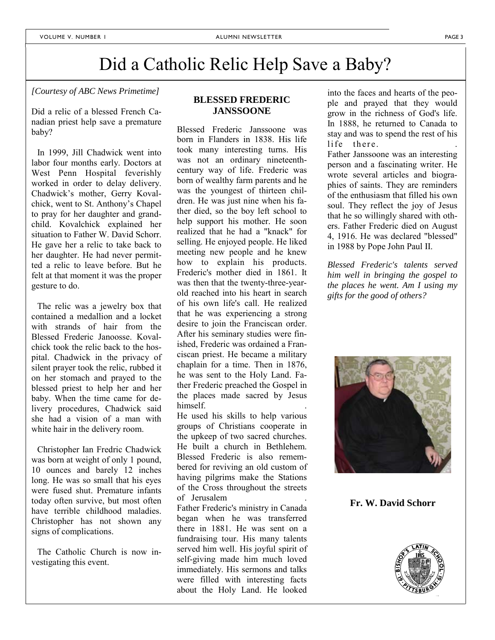# Did a Catholic Relic Help Save a Baby?

*[Courtesy of ABC News Primetime]* 

Did a relic of a blessed French Canadian priest help save a premature baby?

 In 1999, Jill Chadwick went into labor four months early. Doctors at West Penn Hospital feverishly worked in order to delay delivery. Chadwick's mother, Gerry Kovalchick, went to St. Anthony's Chapel to pray for her daughter and grandchild. Kovalchick explained her situation to Father W. David Schorr. He gave her a relic to take back to her daughter. He had never permitted a relic to leave before. But he felt at that moment it was the proper gesture to do.

 The relic was a jewelry box that contained a medallion and a locket with strands of hair from the Blessed Frederic Janoosse. Kovalchick took the relic back to the hospital. Chadwick in the privacy of silent prayer took the relic, rubbed it on her stomach and prayed to the blessed priest to help her and her baby. When the time came for delivery procedures, Chadwick said she had a vision of a man with white hair in the delivery room.

 Christopher Ian Fredric Chadwick was born at weight of only 1 pound, 10 ounces and barely 12 inches long. He was so small that his eyes were fused shut. Premature infants today often survive, but most often have terrible childhood maladies. Christopher has not shown any signs of complications.

 The Catholic Church is now investigating this event.

### **BLESSED FREDERIC JANSSOONE**

Blessed Frederic Janssoone was born in Flanders in 1838. His life took many interesting turns. His was not an ordinary nineteenthcentury way of life. Frederic was born of wealthy farm parents and he was the youngest of thirteen children. He was just nine when his father died, so the boy left school to help support his mother. He soon realized that he had a "knack" for selling. He enjoyed people. He liked meeting new people and he knew how to explain his products. Frederic's mother died in 1861. It was then that the twenty-three-yearold reached into his heart in search of his own life's call. He realized that he was experiencing a strong desire to join the Franciscan order. After his seminary studies were finished, Frederic was ordained a Franciscan priest. He became a military chaplain for a time. Then in 1876, he was sent to the Holy Land. Father Frederic preached the Gospel in the places made sacred by Jesus himself.

He used his skills to help various groups of Christians cooperate in the upkeep of two sacred churches. He built a church in Bethlehem. Blessed Frederic is also remembered for reviving an old custom of having pilgrims make the Stations of the Cross throughout the streets of Jerusalem

Father Frederic's ministry in Canada began when he was transferred there in 1881. He was sent on a fundraising tour. His many talents served him well. His joyful spirit of self-giving made him much loved immediately. His sermons and talks were filled with interesting facts about the Holy Land. He looked

into the faces and hearts of the people and prayed that they would grow in the richness of God's life. In 1888, he returned to Canada to stay and was to spend the rest of his life there.

Father Janssoone was an interesting person and a fascinating writer. He wrote several articles and biographies of saints. They are reminders of the enthusiasm that filled his own soul. They reflect the joy of Jesus that he so willingly shared with others. Father Frederic died on August 4, 1916. He was declared "blessed" in 1988 by Pope John Paul II.

*Blessed Frederic's talents served him well in bringing the gospel to the places he went. Am I using my gifts for the good of others?* 



**Fr. W. David Schorr** 

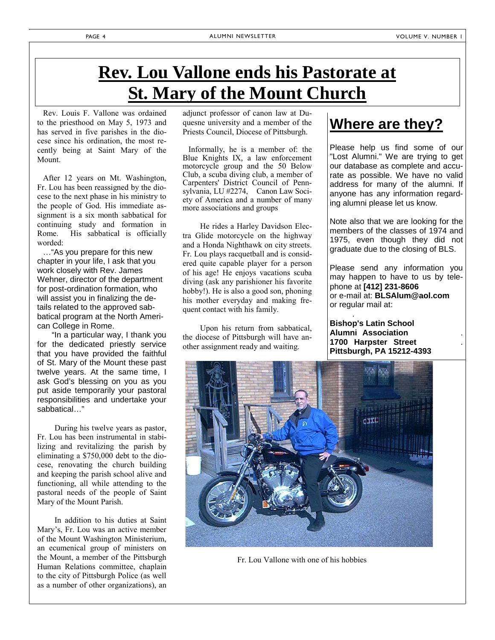### **Rev. Lou Vallone ends his Pastorate at St. Mary of the Mount Church**

 Rev. Louis F. Vallone was ordained to the priesthood on May 5, 1973 and has served in five parishes in the diocese since his ordination, the most recently being at Saint Mary of the Mount.

 After 12 years on Mt. Washington, Fr. Lou has been reassigned by the diocese to the next phase in his ministry to the people of God. His immediate assignment is a six month sabbatical for continuing study and formation in Rome. His sabbatical is officially worded:

 …"As you prepare for this new chapter in your life, I ask that you work closely with Rev. James Wehner, director of the department for post-ordination formation, who will assist you in finalizing the details related to the approved sabbatical program at the North American College in Rome.

 "In a particular way, I thank you for the dedicated priestly service that you have provided the faithful of St. Mary of the Mount these past twelve years. At the same time, I ask God's blessing on you as you put aside temporarily your pastoral responsibilities and undertake your sabbatical…"

 During his twelve years as pastor, Fr. Lou has been instrumental in stabilizing and revitalizing the parish by eliminating a \$750,000 debt to the diocese, renovating the church building and keeping the parish school alive and functioning, all while attending to the pastoral needs of the people of Saint Mary of the Mount Parish.

 In addition to his duties at Saint Mary's, Fr. Lou was an active member of the Mount Washington Ministerium, an ecumenical group of ministers on the Mount, a member of the Pittsburgh Human Relations committee, chaplain to the city of Pittsburgh Police (as well as a number of other organizations), an

adjunct professor of canon law at Duquesne university and a member of the Priests Council, Diocese of Pittsburgh.

 Informally, he is a member of: the Blue Knights IX, a law enforcement motorcycle group and the 50 Below Club, a scuba diving club, a member of Carpenters' District Council of Pennsylvania, LU #2274, Canon Law Society of America and a number of many more associations and groups

 He rides a Harley Davidson Electra Glide motorcycle on the highway and a Honda Nighthawk on city streets. Fr. Lou plays racquetball and is considered quite capable player for a person of his age! He enjoys vacations scuba diving (ask any parishioner his favorite hobby!). He is also a good son, phoning his mother everyday and making frequent contact with his family.

 Upon his return from sabbatical, the diocese of Pittsburgh will have another assignment ready and waiting.

### **Where are they?**

Please help us find some of our "Lost Alumni." We are trying to get our database as complete and accurate as possible. We have no valid address for many of the alumni. If anyone has any information regarding alumni please let us know.

Note also that we are looking for the members of the classes of 1974 and 1975, even though they did not graduate due to the closing of BLS.

Please send any information you may happen to have to us by telephone at **[412] 231-8606**  or e-mail at: **BLSAlum@aol.com**  or regular mail at:

**Bishop's Latin School Alumni Association** . **1700 Harpster Street** . **Pittsburgh, PA 15212-4393** 

.



Fr. Lou Vallone with one of his hobbies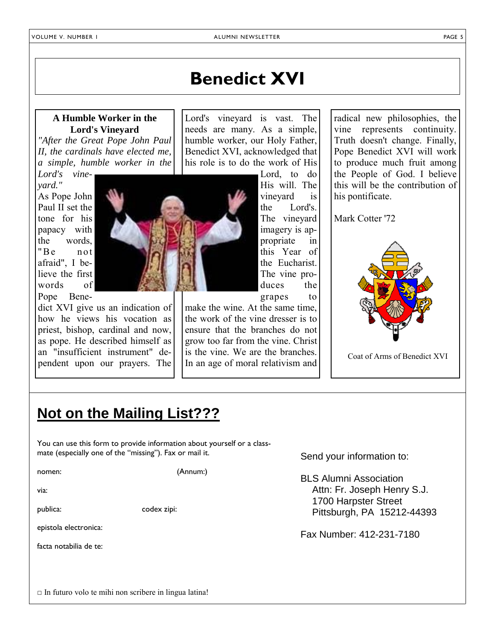# **Benedict XVI**

Lord's vineyard is vast. The needs are many. As a simple, humble worker, our Holy Father,

### **A Humble Worker in the Lord's Vineyard**

*"After the Great Pope John Paul II, the cardinals have elected me, a simple, humble worker in the* 

*Lord's vineyard."* As Pope John Paul II set the tone for his papacy with the words, "Be not afraid", I believe the first words of Pope Bene-

dict XVI give us an indication of how he views his vocation as priest, bishop, cardinal and now, as pope. He described himself as an "insufficient instrument" dependent upon our prayers. The



Benedict XVI, acknowledged that his role is to do the work of His Lord, to do His will. The vineyard is the Lord's. The vineyard imagery is appropriate in this Year of the Eucharist. The vine produces the

grapes to make the wine. At the same time, the work of the vine dresser is to ensure that the branches do not grow too far from the vine. Christ is the vine. We are the branches. In an age of moral relativism and

radical new philosophies, the vine represents continuity. Truth doesn't change. Finally, Pope Benedict XVI will work to produce much fruit among the People of God. I believe this will be the contribution of his pontificate.

Mark Cotter '72



Coat of Arms of Benedict XVI

### **Not on the Mailing List???**

You can use this form to provide information about yourself or a classmate (especially one of the "missing"). Fax or mail it.

nomen: (Annum:)

via:

publica: codex zipi:

epistola electronica:

facta notabilia de te:

Send your information to:

BLS Alumni Association Attn: Fr. Joseph Henry S.J. 1700 Harpster Street Pittsburgh, PA 15212-44393

Fax Number: 412-231-7180

| $\Box$ In futuro volo te mihi non scribere in lingua latina! |  |  |  |
|--------------------------------------------------------------|--|--|--|
|--------------------------------------------------------------|--|--|--|